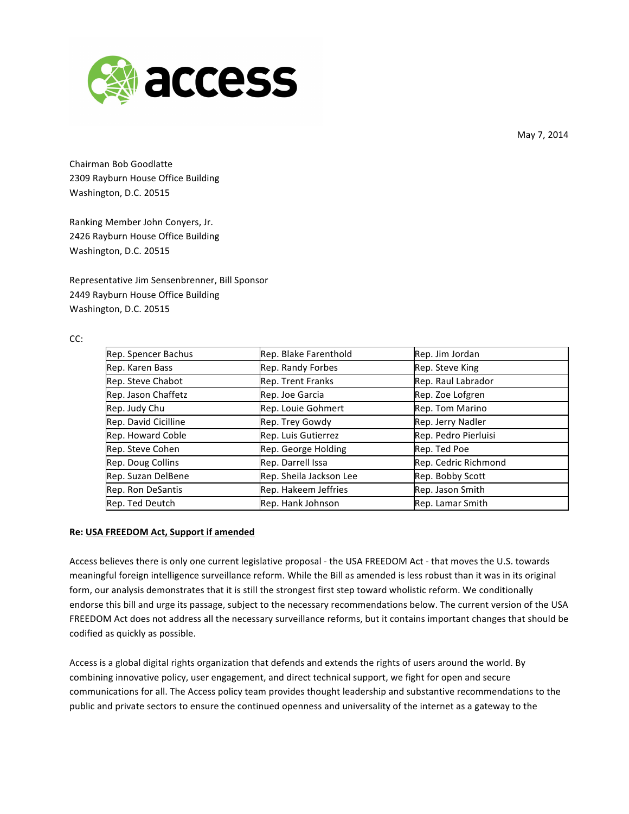

May 7, 2014

Chairman Bob Goodlatte 2309 Rayburn House Office Building Washington, D.C. 20515

Ranking Member John Conyers, Jr. 2426 Rayburn House Office Building Washington, D.C. 20515

Representative Jim Sensenbrenner, Bill Sponsor 2449 Rayburn House Office Building Washington, D.C. 20515

## CC:

| Rep. Spencer Bachus  | Rep. Blake Farenthold   | Rep. Jim Jordan      |
|----------------------|-------------------------|----------------------|
| Rep. Karen Bass      | Rep. Randy Forbes       | Rep. Steve King      |
| Rep. Steve Chabot    | Rep. Trent Franks       | Rep. Raul Labrador   |
| Rep. Jason Chaffetz  | Rep. Joe Garcia         | Rep. Zoe Lofgren     |
| Rep. Judy Chu        | Rep. Louie Gohmert      | Rep. Tom Marino      |
| Rep. David Cicilline | Rep. Trey Gowdy         | Rep. Jerry Nadler    |
| Rep. Howard Coble    | Rep. Luis Gutierrez     | Rep. Pedro Pierluisi |
| Rep. Steve Cohen     | Rep. George Holding     | Rep. Ted Poe         |
| Rep. Doug Collins    | Rep. Darrell Issa       | Rep. Cedric Richmond |
| Rep. Suzan DelBene   | Rep. Sheila Jackson Lee | Rep. Bobby Scott     |
| Rep. Ron DeSantis    | Rep. Hakeem Jeffries    | Rep. Jason Smith     |
| Rep. Ted Deutch      | Rep. Hank Johnson       | Rep. Lamar Smith     |

### **Re: USA FREEDOM Act, Support if amended**

Access believes there is only one current legislative proposal - the USA FREEDOM Act - that moves the U.S. towards meaningful foreign intelligence surveillance reform. While the Bill as amended is less robust than it was in its original form, our analysis demonstrates that it is still the strongest first step toward wholistic reform. We conditionally endorse this bill and urge its passage, subject to the necessary recommendations below. The current version of the USA FREEDOM Act does not address all the necessary surveillance reforms, but it contains important changes that should be codified as quickly as possible.

Access is a global digital rights organization that defends and extends the rights of users around the world. By combining innovative policy, user engagement, and direct technical support, we fight for open and secure communications for all. The Access policy team provides thought leadership and substantive recommendations to the public and private sectors to ensure the continued openness and universality of the internet as a gateway to the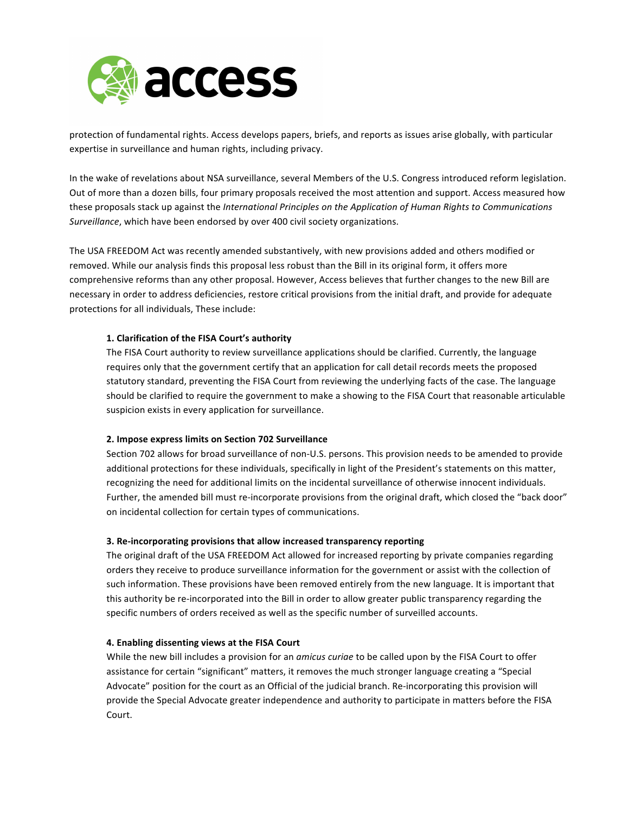

protection of fundamental rights. Access develops papers, briefs, and reports as issues arise globally, with particular expertise in surveillance and human rights, including privacy.

In the wake of revelations about NSA surveillance, several Members of the U.S. Congress introduced reform legislation. Out of more than a dozen bills, four primary proposals received the most attention and support. Access measured how these proposals stack up against the *International Principles on the Application of Human Rights to Communications* Surveillance, which have been endorsed by over 400 civil society organizations.

The USA FREEDOM Act was recently amended substantively, with new provisions added and others modified or removed. While our analysis finds this proposal less robust than the Bill in its original form, it offers more comprehensive reforms than any other proposal. However, Access believes that further changes to the new Bill are necessary in order to address deficiencies, restore critical provisions from the initial draft, and provide for adequate protections for all individuals, These include:

#### 1. Clarification of the FISA Court's authority

The FISA Court authority to review surveillance applications should be clarified. Currently, the language requires only that the government certify that an application for call detail records meets the proposed statutory standard, preventing the FISA Court from reviewing the underlying facts of the case. The language should be clarified to require the government to make a showing to the FISA Court that reasonable articulable suspicion exists in every application for surveillance.

#### **2. Impose express limits on Section 702 Surveillance**

Section 702 allows for broad surveillance of non-U.S. persons. This provision needs to be amended to provide additional protections for these individuals, specifically in light of the President's statements on this matter, recognizing the need for additional limits on the incidental surveillance of otherwise innocent individuals. Further, the amended bill must re-incorporate provisions from the original draft, which closed the "back door" on incidental collection for certain types of communications.

# **3. Re-incorporating provisions that allow increased transparency reporting**

The original draft of the USA FREEDOM Act allowed for increased reporting by private companies regarding orders they receive to produce surveillance information for the government or assist with the collection of such information. These provisions have been removed entirely from the new language. It is important that this authority be re-incorporated into the Bill in order to allow greater public transparency regarding the specific numbers of orders received as well as the specific number of surveilled accounts.

### **4. Enabling dissenting views at the FISA Court**

While the new bill includes a provision for an *amicus curiae* to be called upon by the FISA Court to offer assistance for certain "significant" matters, it removes the much stronger language creating a "Special Advocate" position for the court as an Official of the judicial branch. Re-incorporating this provision will provide the Special Advocate greater independence and authority to participate in matters before the FISA Court.